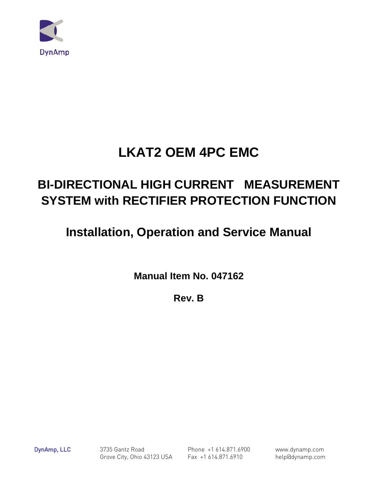

# **LKAT2 OEM 4PC EMC**

# **BI-DIRECTIONAL HIGH CURRENT MEASUREMENT SYSTEM with RECTIFIER PROTECTION FUNCTION**

# **Installation, Operation and Service Manual**

**Manual Item No. 047162** 

**Rev. B**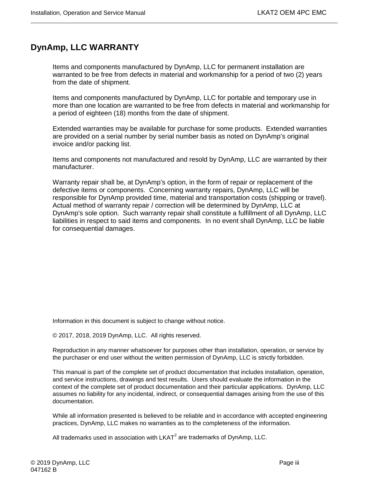# <span id="page-2-0"></span>**DynAmp, LLC WARRANTY**

Items and components manufactured by DynAmp, LLC for permanent installation are warranted to be free from defects in material and workmanship for a period of two (2) years from the date of shipment.

Items and components manufactured by DynAmp, LLC for portable and temporary use in more than one location are warranted to be free from defects in material and workmanship for a period of eighteen (18) months from the date of shipment.

Extended warranties may be available for purchase for some products. Extended warranties are provided on a serial number by serial number basis as noted on DynAmp's original invoice and/or packing list.

Items and components not manufactured and resold by DynAmp, LLC are warranted by their manufacturer.

Warranty repair shall be, at DynAmp's option, in the form of repair or replacement of the defective items or components. Concerning warranty repairs, DynAmp, LLC will be responsible for DynAmp provided time, material and transportation costs (shipping or travel). Actual method of warranty repair / correction will be determined by DynAmp, LLC at DynAmp's sole option. Such warranty repair shall constitute a fulfillment of all DynAmp, LLC liabilities in respect to said items and components. In no event shall DynAmp, LLC be liable for consequential damages.

Information in this document is subject to change without notice.

© 2017, 2018, 2019 DynAmp, LLC. All rights reserved.

Reproduction in any manner whatsoever for purposes other than installation, operation, or service by the purchaser or end user without the written permission of DynAmp, LLC is strictly forbidden.

This manual is part of the complete set of product documentation that includes installation, operation, and service instructions, drawings and test results. Users should evaluate the information in the context of the complete set of product documentation and their particular applications. DynAmp, LLC assumes no liability for any incidental, indirect, or consequential damages arising from the use of this documentation.

While all information presented is believed to be reliable and in accordance with accepted engineering practices, DynAmp, LLC makes no warranties as to the completeness of the information.

All trademarks used in association with  $LKAT<sup>2</sup>$  are trademarks of DynAmp, LLC.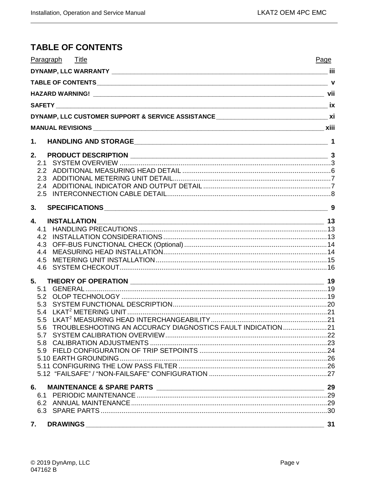# <span id="page-4-0"></span>**TABLE OF CONTENTS**

| Paragraph Title           | Page |
|---------------------------|------|
|                           |      |
|                           |      |
|                           |      |
|                           |      |
|                           |      |
|                           |      |
| $\mathbf 1$ .             |      |
| 2.                        |      |
| 2.1                       |      |
|                           |      |
|                           |      |
|                           |      |
|                           |      |
| 3.                        |      |
| 4.<br><b>INSTALLATION</b> |      |
| 4.1                       |      |
| 4.2                       |      |
| 4.3                       |      |
| 4.4                       |      |
| 4.5                       |      |
| 4.6                       |      |
| 5.                        |      |
|                           |      |
| 5.2                       |      |
| 5.3                       |      |
| 5.4                       |      |
| 5.5                       |      |
|                           |      |
|                           |      |
|                           |      |
|                           |      |
|                           |      |
|                           |      |
|                           |      |
|                           |      |
|                           |      |
|                           |      |
|                           |      |
| 7. DRAWINGS               | 31   |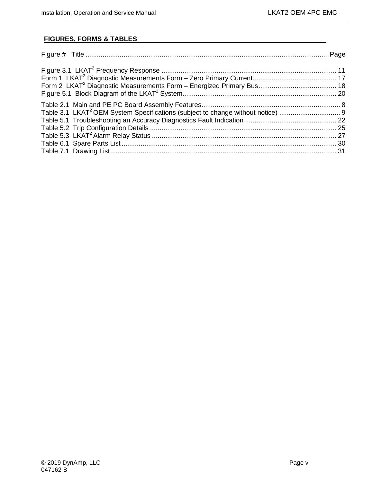# **FIGURES, FORMS & TABLES**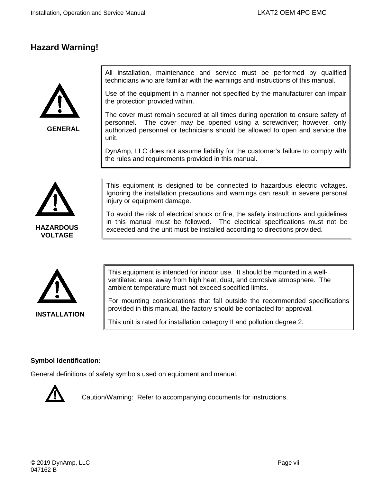# <span id="page-6-0"></span>**Hazard Warning!**



**GENERAL**

All installation, maintenance and service must be performed by qualified technicians who are familiar with the warnings and instructions of this manual.

Use of the equipment in a manner not specified by the manufacturer can impair the protection provided within.

The cover must remain secured at all times during operation to ensure safety of personnel. The cover may be opened using a screwdriver; however, only authorized personnel or technicians should be allowed to open and service the unit.

DynAmp, LLC does not assume liability for the customer's failure to comply with the rules and requirements provided in this manual.



This equipment is designed to be connected to hazardous electric voltages. Ignoring the installation precautions and warnings can result in severe personal injury or equipment damage.

To avoid the risk of electrical shock or fire, the safety instructions and guidelines in this manual must be followed. The electrical specifications must not be exceeded and the unit must be installed according to directions provided.



This equipment is intended for indoor use. It should be mounted in a wellventilated area, away from high heat, dust, and corrosive atmosphere. The ambient temperature must not exceed specified limits.

For mounting considerations that fall outside the recommended specifications provided in this manual, the factory should be contacted for approval.

This unit is rated for installation category II and pollution degree 2.

#### **Symbol Identification:**

General definitions of safety symbols used on equipment and manual.



Caution/Warning: Refer to accompanying documents for instructions.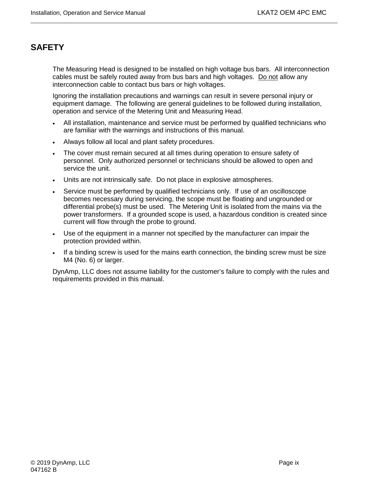# <span id="page-8-0"></span>**SAFETY**

The Measuring Head is designed to be installed on high voltage bus bars. All interconnection cables must be safely routed away from bus bars and high voltages. Do not allow any interconnection cable to contact bus bars or high voltages.

Ignoring the installation precautions and warnings can result in severe personal injury or equipment damage. The following are general guidelines to be followed during installation, operation and service of the Metering Unit and Measuring Head.

- All installation, maintenance and service must be performed by qualified technicians who are familiar with the warnings and instructions of this manual.
- Always follow all local and plant safety procedures.
- The cover must remain secured at all times during operation to ensure safety of personnel. Only authorized personnel or technicians should be allowed to open and service the unit.
- Units are not intrinsically safe. Do not place in explosive atmospheres.
- Service must be performed by qualified technicians only. If use of an oscilloscope becomes necessary during servicing, the scope must be floating and ungrounded or differential probe(s) must be used. The Metering Unit is isolated from the mains via the power transformers. If a grounded scope is used, a hazardous condition is created since current will flow through the probe to ground.
- Use of the equipment in a manner not specified by the manufacturer can impair the protection provided within.
- If a binding screw is used for the mains earth connection, the binding screw must be size M4 (No. 6) or larger.

DynAmp, LLC does not assume liability for the customer's failure to comply with the rules and requirements provided in this manual.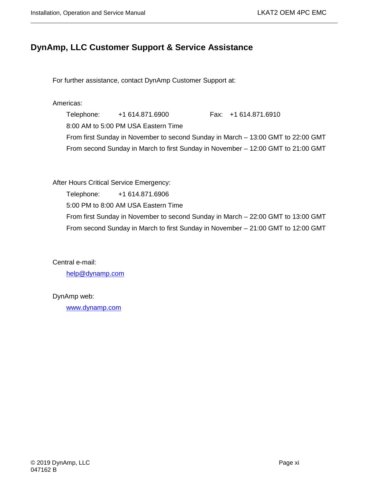# <span id="page-10-0"></span>**DynAmp, LLC Customer Support & Service Assistance**

For further assistance, contact DynAmp Customer Support at:

Americas:

Telephone: +1 614.871.6900 Fax: +1 614.871.6910 8:00 AM to 5:00 PM USA Eastern Time From first Sunday in November to second Sunday in March – 13:00 GMT to 22:00 GMT From second Sunday in March to first Sunday in November – 12:00 GMT to 21:00 GMT

After Hours Critical Service Emergency: Telephone: +1 614.871.6906 5:00 PM to 8:00 AM USA Eastern Time From first Sunday in November to second Sunday in March – 22:00 GMT to 13:00 GMT From second Sunday in March to first Sunday in November – 21:00 GMT to 12:00 GMT

Central e-mail:

[help@dynamp.com](mailto:help@dynamp.com)

DynAmp web:

[www.dynamp.com](http://www.dynamp.com/)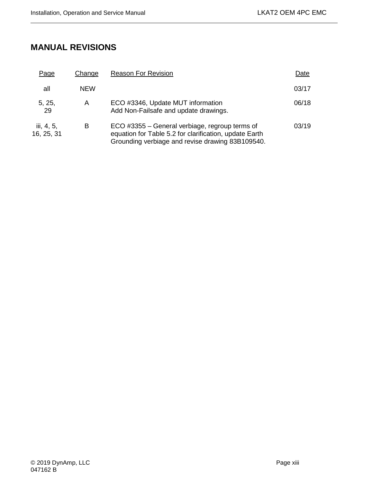# <span id="page-12-0"></span>**MANUAL REVISIONS**

| Page                     | Change     | <b>Reason For Revision</b>                                                                                                                                   | Date  |
|--------------------------|------------|--------------------------------------------------------------------------------------------------------------------------------------------------------------|-------|
| all                      | <b>NEW</b> |                                                                                                                                                              | 03/17 |
| 5, 25,<br>29             | A          | ECO #3346, Update MUT information<br>Add Non-Failsafe and update drawings.                                                                                   | 06/18 |
| iii, 4, 5,<br>16, 25, 31 | в          | ECO #3355 – General verbiage, regroup terms of<br>equation for Table 5.2 for clarification, update Earth<br>Grounding verbiage and revise drawing 83B109540. | 03/19 |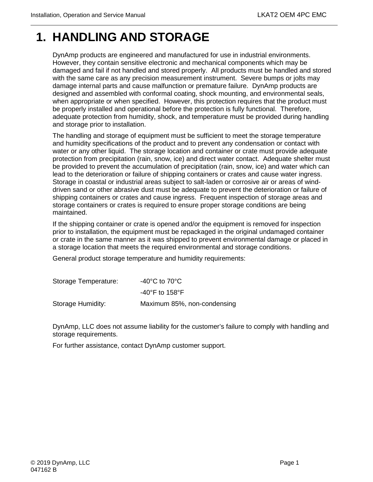# <span id="page-14-0"></span>**1. HANDLING AND STORAGE**

DynAmp products are engineered and manufactured for use in industrial environments. However, they contain sensitive electronic and mechanical components which may be damaged and fail if not handled and stored properly. All products must be handled and stored with the same care as any precision measurement instrument. Severe bumps or jolts may damage internal parts and cause malfunction or premature failure. DynAmp products are designed and assembled with conformal coating, shock mounting, and environmental seals, when appropriate or when specified. However, this protection requires that the product must be properly installed and operational before the protection is fully functional. Therefore, adequate protection from humidity, shock, and temperature must be provided during handling and storage prior to installation.

The handling and storage of equipment must be sufficient to meet the storage temperature and humidity specifications of the product and to prevent any condensation or contact with water or any other liquid. The storage location and container or crate must provide adequate protection from precipitation (rain, snow, ice) and direct water contact. Adequate shelter must be provided to prevent the accumulation of precipitation (rain, snow, ice) and water which can lead to the deterioration or failure of shipping containers or crates and cause water ingress. Storage in coastal or industrial areas subject to salt-laden or corrosive air or areas of winddriven sand or other abrasive dust must be adequate to prevent the deterioration or failure of shipping containers or crates and cause ingress. Frequent inspection of storage areas and storage containers or crates is required to ensure proper storage conditions are being maintained.

If the shipping container or crate is opened and/or the equipment is removed for inspection prior to installation, the equipment must be repackaged in the original undamaged container or crate in the same manner as it was shipped to prevent environmental damage or placed in a storage location that meets the required environmental and storage conditions.

General product storage temperature and humidity requirements:

| Storage Temperature: | $-40^{\circ}$ C to 70 $^{\circ}$ C |
|----------------------|------------------------------------|
|                      | -40°F to 158°F                     |
| Storage Humidity:    | Maximum 85%, non-condensing        |

DynAmp, LLC does not assume liability for the customer's failure to comply with handling and storage requirements.

For further assistance, contact DynAmp customer support.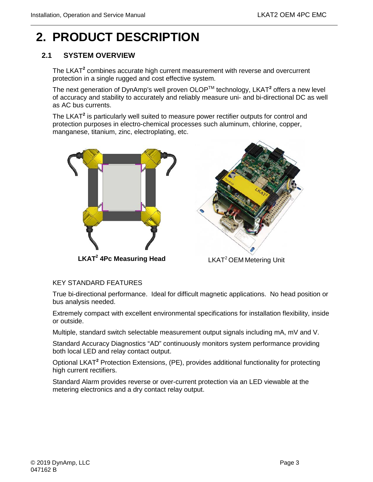# <span id="page-16-0"></span>**2. PRODUCT DESCRIPTION**

# <span id="page-16-1"></span>**2.1 SYSTEM OVERVIEW**

The LKAT**<sup>2</sup>** combines accurate high current measurement with reverse and overcurrent protection in a single rugged and cost effective system.

The next generation of DynAmp's well proven OLOP<sup>™</sup> technology, LKAT<sup>2</sup> offers a new level of accuracy and stability to accurately and reliably measure uni- and bi-directional DC as well as AC bus currents.

The LKAT**<sup>2</sup>** is particularly well suited to measure power rectifier outputs for control and protection purposes in electro-chemical processes such aluminum, chlorine, copper, manganese, titanium, zinc, electroplating, etc.



**LKAT2 4Pc Measuring Head**



LKAT<sup>2</sup> OEM Metering Unit

#### KEY STANDARD FEATURES

True bi-directional performance. Ideal for difficult magnetic applications. No head position or bus analysis needed.

Extremely compact with excellent environmental specifications for installation flexibility, inside or outside.

Multiple, standard switch selectable measurement output signals including mA, mV and V.

Standard Accuracy Diagnostics "AD" continuously monitors system performance providing both local LED and relay contact output.

Optional LKAT**<sup>2</sup>** Protection Extensions, (PE), provides additional functionality for protecting high current rectifiers.

Standard Alarm provides reverse or over-current protection via an LED viewable at the metering electronics and a dry contact relay output.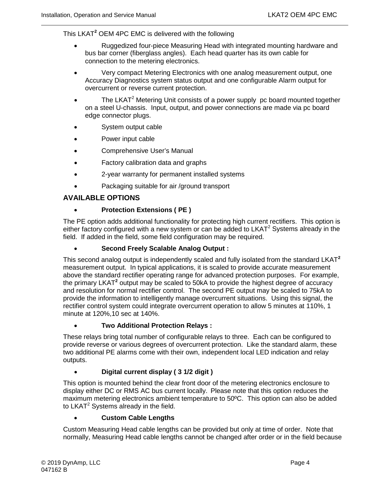This LKAT**<sup>2</sup>** OEM 4PC EMC is delivered with the following

- Ruggedized four-piece Measuring Head with integrated mounting hardware and bus bar corner (fiberglass angles). Each head quarter has its own cable for connection to the metering electronics.
- Very compact Metering Electronics with one analog measurement output, one Accuracy Diagnostics system status output and one configurable Alarm output for overcurrent or reverse current protection.
- The LKAT<sup>2</sup> Metering Unit consists of a power supply pc board mounted together on a steel U-chassis. Input, output, and power connections are made via pc board edge connector plugs.
- System output cable
- Power input cable
- Comprehensive User's Manual
- Factory calibration data and graphs
- 2-year warranty for permanent installed systems
- Packaging suitable for air /ground transport

#### **AVAILABLE OPTIONS**

#### • **Protection Extensions ( PE )**

The PE option adds additional functionality for protecting high current rectifiers. This option is either factory configured with a new system or can be added to  $LKAT<sup>2</sup>$  Systems already in the field. If added in the field, some field configuration may be required.

#### • **Second Freely Scalable Analog Output :**

This second analog output is independently scaled and fully isolated from the standard LKAT**<sup>2</sup>** measurement output. In typical applications, it is scaled to provide accurate measurement above the standard rectifier operating range for advanced protection purposes. For example, the primary LKAT**<sup>2</sup>** output may be scaled to 50kA to provide the highest degree of accuracy and resolution for normal rectifier control. The second PE output may be scaled to 75kA to provide the information to intelligently manage overcurrent situations. Using this signal, the rectifier control system could integrate overcurrent operation to allow 5 minutes at 110%, 1 minute at 120%,10 sec at 140%.

#### • **Two Additional Protection Relays :**

These relays bring total number of configurable relays to three. Each can be configured to provide reverse or various degrees of overcurrent protection. Like the standard alarm, these two additional PE alarms come with their own, independent local LED indication and relay outputs.

#### • **Digital current display ( 3 1/2 digit )**

This option is mounted behind the clear front door of the metering electronics enclosure to display either DC or RMS AC bus current locally. Please note that this option reduces the maximum metering electronics ambient temperature to 50ºC. This option can also be added to LKAT<sup>2</sup> Systems already in the field.

#### • **Custom Cable Lengths**

Custom Measuring Head cable lengths can be provided but only at time of order. Note that normally, Measuring Head cable lengths cannot be changed after order or in the field because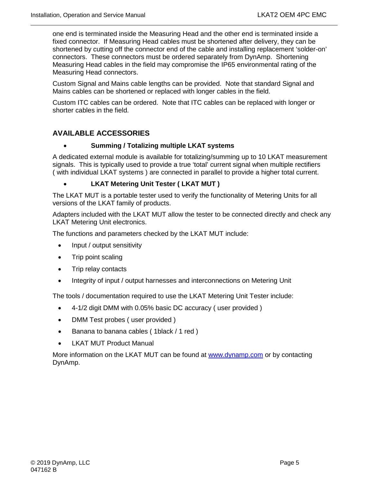one end is terminated inside the Measuring Head and the other end is terminated inside a fixed connector. If Measuring Head cables must be shortened after delivery, they can be shortened by cutting off the connector end of the cable and installing replacement 'solder-on' connectors. These connectors must be ordered separately from DynAmp. Shortening Measuring Head cables in the field may compromise the IP65 environmental rating of the Measuring Head connectors.

Custom Signal and Mains cable lengths can be provided. Note that standard Signal and Mains cables can be shortened or replaced with longer cables in the field.

Custom ITC cables can be ordered. Note that ITC cables can be replaced with longer or shorter cables in the field.

# **AVAILABLE ACCESSORIES**

#### • **Summing / Totalizing multiple LKAT systems**

A dedicated external module is available for totalizing/summing up to 10 LKAT measurement signals. This is typically used to provide a true 'total' current signal when multiple rectifiers ( with individual LKAT systems ) are connected in parallel to provide a higher total current.

#### • **LKAT Metering Unit Tester ( LKAT MUT )**

The LKAT MUT is a portable tester used to verify the functionality of Metering Units for all versions of the LKAT family of products.

Adapters included with the LKAT MUT allow the tester to be connected directly and check any LKAT Metering Unit electronics.

The functions and parameters checked by the LKAT MUT include:

- Input / output sensitivity
- Trip point scaling
- Trip relay contacts
- Integrity of input / output harnesses and interconnections on Metering Unit

The tools / documentation required to use the LKAT Metering Unit Tester include:

- 4-1/2 digit DMM with 0.05% basic DC accuracy ( user provided )
- DMM Test probes (user provided)
- Banana to banana cables ( 1black / 1 red )
- **LKAT MUT Product Manual**

More information on the LKAT MUT can be found at [www.dynamp.com](http://www.dynamp.com/) or by contacting DynAmp.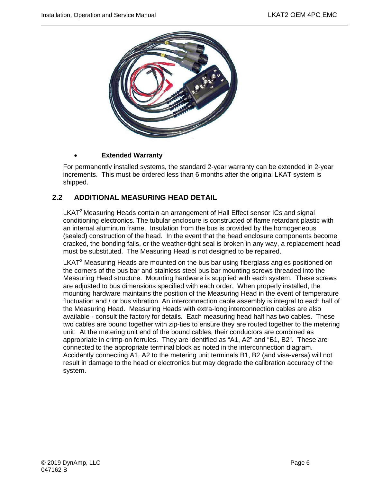

#### • **Extended Warranty**

For permanently installed systems, the standard 2-year warranty can be extended in 2-year increments. This must be ordered less than 6 months after the original LKAT system is shipped.

## <span id="page-19-0"></span>**2.2 ADDITIONAL MEASURING HEAD DETAIL**

LKAT<sup>2</sup> Measuring Heads contain an arrangement of Hall Effect sensor ICs and signal conditioning electronics. The tubular enclosure is constructed of flame retardant plastic with an internal aluminum frame. Insulation from the bus is provided by the homogeneous (sealed) construction of the head. In the event that the head enclosure components become cracked, the bonding fails, or the weather-tight seal is broken in any way, a replacement head must be substituted. The Measuring Head is not designed to be repaired.

LKAT<sup>2</sup> Measuring Heads are mounted on the bus bar using fiberglass angles positioned on the corners of the bus bar and stainless steel bus bar mounting screws threaded into the Measuring Head structure. Mounting hardware is supplied with each system. These screws are adjusted to bus dimensions specified with each order. When properly installed, the mounting hardware maintains the position of the Measuring Head in the event of temperature fluctuation and / or bus vibration. An interconnection cable assembly is integral to each half of the Measuring Head. Measuring Heads with extra-long interconnection cables are also available - consult the factory for details. Each measuring head half has two cables. These two cables are bound together with zip-ties to ensure they are routed together to the metering unit. At the metering unit end of the bound cables, their conductors are combined as appropriate in crimp-on ferrules. They are identified as "A1, A2" and "B1, B2". These are connected to the appropriate terminal block as noted in the interconnection diagram. Accidently connecting A1, A2 to the metering unit terminals B1, B2 (and visa-versa) will not result in damage to the head or electronics but may degrade the calibration accuracy of the system.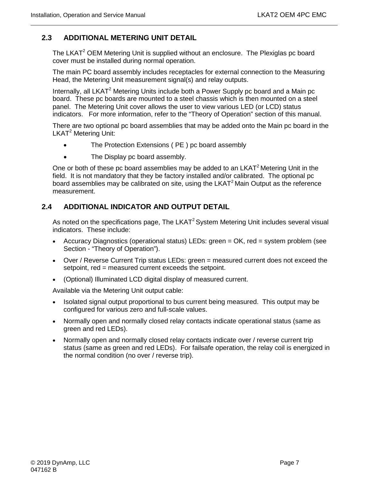### <span id="page-20-0"></span>**2.3 ADDITIONAL METERING UNIT DETAIL**

The LKAT<sup>2</sup> OEM Metering Unit is supplied without an enclosure. The Plexiglas pc board cover must be installed during normal operation.

The main PC board assembly includes receptacles for external connection to the Measuring Head, the Metering Unit measurement signal(s) and relay outputs.

Internally, all LKAT<sup>2</sup> Metering Units include both a Power Supply pc board and a Main pc board. These pc boards are mounted to a steel chassis which is then mounted on a steel panel. The Metering Unit cover allows the user to view various LED (or LCD) status indicators. For more information, refer to the "Theory of Operation" section of this manual.

There are two optional pc board assemblies that may be added onto the Main pc board in the LKAT<sup>2</sup> Metering Unit:

- The Protection Extensions (PE) pc board assembly
- The Display pc board assembly.

One or both of these pc board assemblies may be added to an  $LKAT<sup>2</sup>$  Metering Unit in the field. It is not mandatory that they be factory installed and/or calibrated. The optional pc board assemblies may be calibrated on site, using the LKAT<sup>2</sup> Main Output as the reference measurement.

#### <span id="page-20-1"></span>**2.4 ADDITIONAL INDICATOR AND OUTPUT DETAIL**

As noted on the specifications page, The LKAT $2$ System Metering Unit includes several visual indicators. These include:

- Accuracy Diagnostics (operational status) LEDs: green = OK, red = system problem (see Section - "Theory of Operation").
- Over / Reverse Current Trip status LEDs: green = measured current does not exceed the setpoint, red = measured current exceeds the setpoint.
- (Optional) Illuminated LCD digital display of measured current.

Available via the Metering Unit output cable:

- Isolated signal output proportional to bus current being measured. This output may be configured for various zero and full-scale values.
- Normally open and normally closed relay contacts indicate operational status (same as green and red LEDs).
- Normally open and normally closed relay contacts indicate over / reverse current trip status (same as green and red LEDs). For failsafe operation, the relay coil is energized in the normal condition (no over / reverse trip).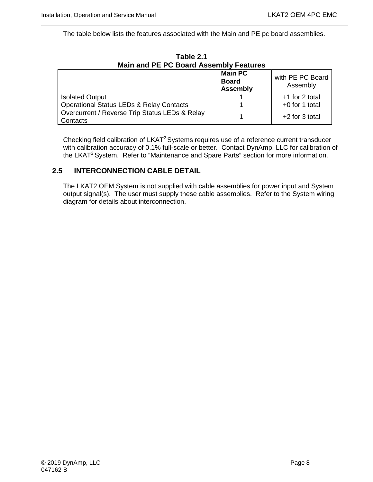The table below lists the features associated with the Main and PE pc board assemblies.

<span id="page-21-1"></span>

| <b>Main and PE PC Board Assembly Features</b>              |                                                   |                              |  |  |
|------------------------------------------------------------|---------------------------------------------------|------------------------------|--|--|
|                                                            | <b>Main PC</b><br><b>Board</b><br><b>Assembly</b> | with PE PC Board<br>Assembly |  |  |
| <b>Isolated Output</b>                                     |                                                   | +1 for 2 total               |  |  |
| <b>Operational Status LEDs &amp; Relay Contacts</b>        |                                                   | +0 for 1 total               |  |  |
| Overcurrent / Reverse Trip Status LEDs & Relay<br>Contacts |                                                   | $+2$ for 3 total             |  |  |

**Table 2.1**

Checking field calibration of LKAT<sup>2</sup> Systems requires use of a reference current transducer with calibration accuracy of 0.1% full-scale or better. Contact DynAmp, LLC for calibration of the LKAT<sup>2</sup> System. Refer to "Maintenance and Spare Parts" section for more information.

### <span id="page-21-0"></span>**2.5 INTERCONNECTION CABLE DETAIL**

The LKAT2 OEM System is not supplied with cable assemblies for power input and System output signal(s). The user must supply these cable assemblies. Refer to the System wiring diagram for details about interconnection.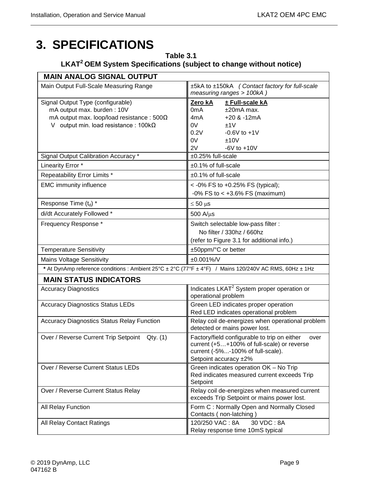# <span id="page-22-1"></span><span id="page-22-0"></span>**3. SPECIFICATIONS**

# **Table 3.1 LKAT2 OEM System Specifications (subject to change without notice)**

| <b>MAIN ANALOG SIGNAL OUTPUT</b>                                                                                                                                                                            |                                                                                                                                                                                  |  |  |
|-------------------------------------------------------------------------------------------------------------------------------------------------------------------------------------------------------------|----------------------------------------------------------------------------------------------------------------------------------------------------------------------------------|--|--|
| Main Output Full-Scale Measuring Range                                                                                                                                                                      | ±5kA to ±150kA (Contact factory for full-scale<br>measuring ranges > 100kA)                                                                                                      |  |  |
| Signal Output Type (configurable)<br>mA output max. burden: 10V<br>mA output max. loop/load resistance : $500\Omega$<br>V output min. load resistance: $100k\Omega$<br>Signal Output Calibration Accuracy * | Zero kA<br>± Full-scale kA<br>0mA<br>$±20mA$ max.<br>$+20$ & $-12mA$<br>4mA<br>0V<br>±1V<br>0.2V<br>$-0.6V$ to $+1V$<br>0V<br>±10V<br>2V<br>$-6V$ to $+10V$<br>±0.25% full-scale |  |  |
| Linearity Error *                                                                                                                                                                                           | ±0.1% of full-scale                                                                                                                                                              |  |  |
| Repeatability Error Limits *                                                                                                                                                                                |                                                                                                                                                                                  |  |  |
| <b>EMC</b> immunity influence                                                                                                                                                                               | $±0.1\%$ of full-scale<br>$<$ -0% FS to +0.25% FS (typical);<br>$-0\%$ FS to < $+3.6\%$ FS (maximum)                                                                             |  |  |
| Response Time (td) *                                                                                                                                                                                        | $\leq 50 \,\mu s$                                                                                                                                                                |  |  |
| di/dt Accurately Followed *                                                                                                                                                                                 | 500 A/µs                                                                                                                                                                         |  |  |
| Frequency Response *                                                                                                                                                                                        | Switch selectable low-pass filter :<br>No filter / 330hz / 660hz<br>(refer to Figure 3.1 for additional info.)                                                                   |  |  |
| <b>Temperature Sensitivity</b>                                                                                                                                                                              | ±50ppm/°C or better                                                                                                                                                              |  |  |
| <b>Mains Voltage Sensitivity</b>                                                                                                                                                                            | $±0.001\%$ /V                                                                                                                                                                    |  |  |
| * At DynAmp reference conditions : Ambient 25°C ± 2°C (77°F ± 4°F) / Mains 120/240V AC RMS, 60Hz ± 1Hz                                                                                                      |                                                                                                                                                                                  |  |  |
| <b>MAIN STATUS INDICATORS</b>                                                                                                                                                                               |                                                                                                                                                                                  |  |  |
| <b>Accuracy Diagnostics</b>                                                                                                                                                                                 | Indicates LKAT <sup>2</sup> System proper operation or<br>operational problem                                                                                                    |  |  |
| <b>Accuracy Diagnostics Status LEDs</b>                                                                                                                                                                     | Green LED indicates proper operation<br>Red LED indicates operational problem                                                                                                    |  |  |
| <b>Accuracy Diagnostics Status Relay Function</b>                                                                                                                                                           | Relay coil de-energizes when operational problem<br>detected or mains power lost.                                                                                                |  |  |
| Over / Reverse Current Trip Setpoint Qty. (1)                                                                                                                                                               | Factory/field configurable to trip on either<br>over<br>current (+5+100% of full-scale) or reverse<br>current (-5%-100% of full-scale).<br>Setpoint accuracy ±2%                 |  |  |
| Over / Reverse Current Status LEDs                                                                                                                                                                          | Green indicates operation OK - No Trip<br>Red indicates measured current exceeds Trip<br>Setpoint                                                                                |  |  |
| Over / Reverse Current Status Relay                                                                                                                                                                         | Relay coil de-energizes when measured current<br>exceeds Trip Setpoint or mains power lost.                                                                                      |  |  |
| All Relay Function                                                                                                                                                                                          | Form C: Normally Open and Normally Closed<br>Contacts (non-latching)                                                                                                             |  |  |
| All Relay Contact Ratings                                                                                                                                                                                   | 30 VDC: 8A<br>120/250 VAC: 8A<br>Relay response time 10mS typical                                                                                                                |  |  |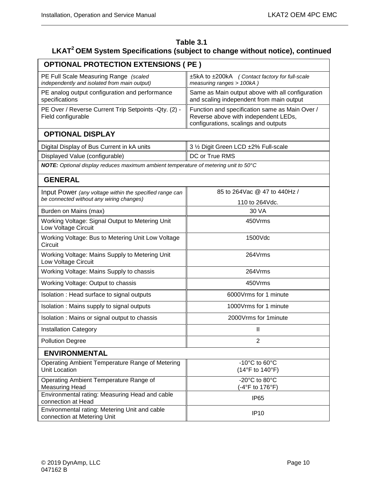| Table 3.1                                                                                 |
|-------------------------------------------------------------------------------------------|
| LKAT <sup>2</sup> OEM System Specifications (subject to change without notice), continued |

| <b>OPTIONAL PROTECTION EXTENSIONS ( PE )</b>                                          |                                                                                                                                |  |  |
|---------------------------------------------------------------------------------------|--------------------------------------------------------------------------------------------------------------------------------|--|--|
| PE Full Scale Measuring Range (scaled<br>independently and isolated from main output) | ±5kA to ±200kA (Contact factory for full-scale<br>measuring ranges > 100kA)                                                    |  |  |
| PE analog output configuration and performance<br>specifications                      | Same as Main output above with all configuration<br>and scaling independent from main output                                   |  |  |
| PE Over / Reverse Current Trip Setpoints - Qty. (2) -<br>Field configurable           | Function and specification same as Main Over /<br>Reverse above with independent LEDs,<br>configurations, scalings and outputs |  |  |
| <b>OPTIONAL DISPLAY</b>                                                               |                                                                                                                                |  |  |
| Digital Display of Bus Current in kA units                                            | 3 1/2 Digit Green LCD ±2% Full-scale                                                                                           |  |  |
| Displayed Value (configurable)                                                        | DC or True RMS                                                                                                                 |  |  |
| NOTE: Optional display reduces maximum ambient temperature of metering unit to 50°C   |                                                                                                                                |  |  |
| <b>GENERAL</b>                                                                        |                                                                                                                                |  |  |
| Input Power (any voltage within the specified range can                               | 85 to 264 Vac @ 47 to 440 Hz /                                                                                                 |  |  |
| be connected without any wiring changes)                                              | 110 to 264Vdc.                                                                                                                 |  |  |
| Burden on Mains (max)                                                                 | 30 VA                                                                                                                          |  |  |
| Working Voltage: Signal Output to Metering Unit<br>Low Voltage Circuit                | 450Vrms                                                                                                                        |  |  |
| Working Voltage: Bus to Metering Unit Low Voltage<br>Circuit                          | 1500Vdc                                                                                                                        |  |  |
| Working Voltage: Mains Supply to Metering Unit<br>Low Voltage Circuit                 | 264Vrms                                                                                                                        |  |  |
| Working Voltage: Mains Supply to chassis                                              | 264Vrms                                                                                                                        |  |  |
| Working Voltage: Output to chassis                                                    | 450Vrms                                                                                                                        |  |  |
| Isolation: Head surface to signal outputs                                             | 6000Vrms for 1 minute                                                                                                          |  |  |
| Isolation: Mains supply to signal outputs                                             | 1000Vrms for 1 minute                                                                                                          |  |  |
| Isolation: Mains or signal output to chassis                                          | 2000Vrms for 1minute                                                                                                           |  |  |
| <b>Installation Category</b>                                                          | Ш                                                                                                                              |  |  |
| <b>Pollution Degree</b>                                                               | $\overline{2}$                                                                                                                 |  |  |
| <b>ENVIRONMENTAL</b>                                                                  |                                                                                                                                |  |  |
| Operating Ambient Temperature Range of Metering<br><b>Unit Location</b>               | $-10^{\circ}$ C to 60 $^{\circ}$ C<br>(14°F to 140°F)                                                                          |  |  |
| Operating Ambient Temperature Range of<br><b>Measuring Head</b>                       | -20°C to 80°C<br>(-4°F to 176°F)                                                                                               |  |  |
| Environmental rating: Measuring Head and cable<br>connection at Head                  | IP <sub>65</sub>                                                                                                               |  |  |
| Environmental rating: Metering Unit and cable<br>connection at Metering Unit          | <b>IP10</b>                                                                                                                    |  |  |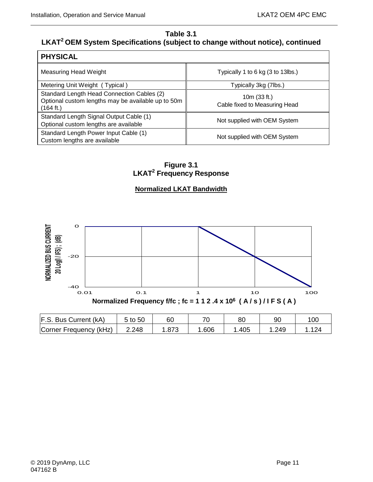# **Table 3.1 LKAT2 OEM System Specifications (subject to change without notice), continued**

| <b>PHYSICAL</b>                                                                                               |                                               |  |  |  |
|---------------------------------------------------------------------------------------------------------------|-----------------------------------------------|--|--|--|
| Measuring Head Weight                                                                                         | Typically 1 to 6 kg (3 to 13lbs.)             |  |  |  |
| Metering Unit Weight (Typical)                                                                                | Typically 3kg (7lbs.)                         |  |  |  |
| Standard Length Head Connection Cables (2)<br>Optional custom lengths may be available up to 50m<br>(164 ft.) | 10m (33 ft.)<br>Cable fixed to Measuring Head |  |  |  |
| Standard Length Signal Output Cable (1)<br>Optional custom lengths are available                              | Not supplied with OEM System                  |  |  |  |
| Standard Length Power Input Cable (1)<br>Custom lengths are available                                         | Not supplied with OEM System                  |  |  |  |

**Figure 3.1 LKAT2 Frequency Response**

### **Normalized LKAT Bandwidth**

<span id="page-24-0"></span>

Corner Frequency (kHz) | 2.248 | 1.873 | 1.606 | 1.405 | 1.249 | 1.124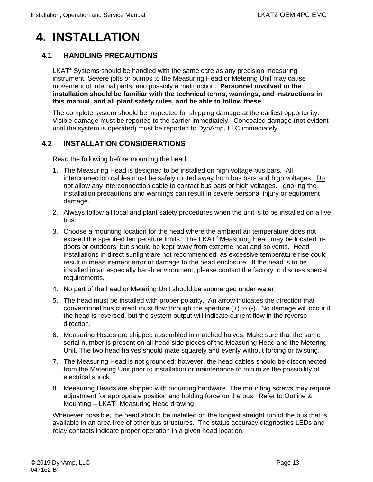# <span id="page-26-0"></span>**4. INSTALLATION**

## <span id="page-26-1"></span>**4.1 HANDLING PRECAUTIONS**

 $LKAT<sup>2</sup>$  Systems should be handled with the same care as any precision measuring instrument. Severe jolts or bumps to the Measuring Head or Metering Unit may cause movement of internal parts, and possibly a malfunction. **Personnel involved in the installation should be familiar with the technical terms, warnings, and instructions in this manual, and all plant safety rules, and be able to follow these.**

The complete system should be inspected for shipping damage at the earliest opportunity. Visible damage must be reported to the carrier immediately. Concealed damage (not evident until the system is operated) must be reported to DynAmp, LLC immediately.

#### <span id="page-26-2"></span>**4.2 INSTALLATION CONSIDERATIONS**

Read the following before mounting the head:

- 1. The Measuring Head is designed to be installed on high voltage bus bars. All interconnection cables must be safely routed away from bus bars and high voltages. Do not allow any interconnection cable to contact bus bars or high voltages. Ignoring the installation precautions and warnings can result in severe personal injury or equipment damage.
- 2. Always follow all local and plant safety procedures when the unit is to be installed on a live bus.
- 3. Choose a mounting location for the head where the ambient air temperature does not exceed the specified temperature limits. The LKAT $2$  Measuring Head may be located indoors or outdoors, but should be kept away from extreme heat and solvents. Head installations in direct sunlight are not recommended, as excessive temperature rise could result in measurement error or damage to the head enclosure. If the head is to be installed in an especially harsh environment, please contact the factory to discuss special requirements.
- 4. No part of the head or Metering Unit should be submerged under water.
- 5. The head must be installed with proper polarity. An arrow indicates the direction that conventional bus current must flow through the aperture (+) to (-). No damage will occur if the head is reversed, but the system output will indicate current flow in the reverse direction.
- 6. Measuring Heads are shipped assembled in matched halves. Make sure that the same serial number is present on all head side pieces of the Measuring Head and the Metering Unit. The two head halves should mate squarely and evenly without forcing or twisting.
- 7. The Measuring Head is not grounded; however, the head cables should be disconnected from the Metering Unit prior to installation or maintenance to minimize the possibility of electrical shock.
- 8. Measuring Heads are shipped with mounting hardware. The mounting screws may require adjustment for appropriate position and holding force on the bus. Refer to Outline & Mounting  $-$  LKAT<sup>2</sup> Measuring Head drawing.

Whenever possible, the head should be installed on the longest straight run of the bus that is available in an area free of other bus structures. The status accuracy diagnostics LEDs and relay contacts indicate proper operation in a given head location.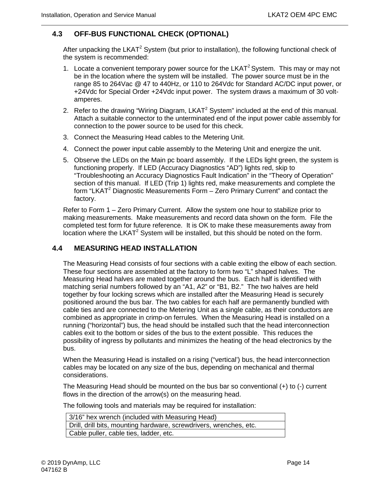### <span id="page-27-0"></span>**4.3 OFF-BUS FUNCTIONAL CHECK (OPTIONAL)**

After unpacking the LKAT<sup>2</sup> System (but prior to installation), the following functional check of the system is recommended:

- 1. Locate a convenient temporary power source for the LKAT<sup>2</sup> System. This may or may not be in the location where the system will be installed. The power source must be in the range 85 to 264Vac @ 47 to 440Hz, or 110 to 264Vdc for Standard AC/DC input power, or +24Vdc for Special Order +24Vdc input power. The system draws a maximum of 30 voltamperes.
- 2. Refer to the drawing "Wiring Diagram, LKAT<sup>2</sup> System" included at the end of this manual. Attach a suitable connector to the unterminated end of the input power cable assembly for connection to the power source to be used for this check.
- 3. Connect the Measuring Head cables to the Metering Unit.
- 4. Connect the power input cable assembly to the Metering Unit and energize the unit.
- 5. Observe the LEDs on the Main pc board assembly. If the LEDs light green, the system is functioning properly. If LED (Accuracy Diagnostics "AD") lights red, skip to "Troubleshooting an Accuracy Diagnostics Fault Indication" in the "Theory of Operation" section of this manual. If LED (Trip 1) lights red, make measurements and complete the form "LKAT<sup>2</sup> Diagnostic Measurements Form  $-$  Zero Primary Current" and contact the factory.

Refer to Form 1 – Zero Primary Current. Allow the system one hour to stabilize prior to making measurements. Make measurements and record data shown on the form. File the completed test form for future reference. It is OK to make these measurements away from location where the LKAT<sup>2</sup> System will be installed, but this should be noted on the form.

#### <span id="page-27-1"></span>**4.4 MEASURING HEAD INSTALLATION**

The Measuring Head consists of four sections with a cable exiting the elbow of each section. These four sections are assembled at the factory to form two "L" shaped halves. The Measuring Head halves are mated together around the bus. Each half is identified with matching serial numbers followed by an "A1, A2" or "B1, B2." The two halves are held together by four locking screws which are installed after the Measuring Head is securely positioned around the bus bar. The two cables for each half are permanently bundled with cable ties and are connected to the Metering Unit as a single cable, as their conductors are combined as appropriate in crimp-on ferrules. When the Measuring Head is installed on a running ("horizontal") bus, the head should be installed such that the head interconnection cables exit to the bottom or sides of the bus to the extent possible. This reduces the possibility of ingress by pollutants and minimizes the heating of the head electronics by the bus.

When the Measuring Head is installed on a rising ("vertical') bus, the head interconnection cables may be located on any size of the bus, depending on mechanical and thermal considerations.

The Measuring Head should be mounted on the bus bar so conventional  $(+)$  to  $(-)$  current flows in the direction of the arrow(s) on the measuring head.

The following tools and materials may be required for installation:

| 3/16" hex wrench (included with Measuring Head)                    |  |  |  |
|--------------------------------------------------------------------|--|--|--|
| Drill, drill bits, mounting hardware, screwdrivers, wrenches, etc. |  |  |  |
| Cable puller, cable ties, ladder, etc.                             |  |  |  |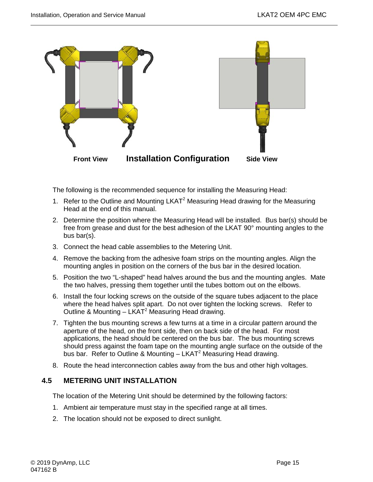

The following is the recommended sequence for installing the Measuring Head:

- 1. Refer to the Outline and Mounting LKAT<sup>2</sup> Measuring Head drawing for the Measuring Head at the end of this manual.
- 2. Determine the position where the Measuring Head will be installed. Bus bar(s) should be free from grease and dust for the best adhesion of the LKAT 90° mounting angles to the bus bar(s).
- 3. Connect the head cable assemblies to the Metering Unit.
- 4. Remove the backing from the adhesive foam strips on the mounting angles. Align the mounting angles in position on the corners of the bus bar in the desired location.
- 5. Position the two "L-shaped" head halves around the bus and the mounting angles. Mate the two halves, pressing them together until the tubes bottom out on the elbows.
- 6. Install the four locking screws on the outside of the square tubes adjacent to the place where the head halves split apart. Do not over tighten the locking screws. Refer to Outline & Mounting  $-$  LKAT<sup>2</sup> Measuring Head drawing.
- 7. Tighten the bus mounting screws a few turns at a time in a circular pattern around the aperture of the head, on the front side, then on back side of the head. For most applications, the head should be centered on the bus bar. The bus mounting screws should press against the foam tape on the mounting angle surface on the outside of the bus bar. Refer to Outline & Mounting  $-$  LKAT<sup>2</sup> Measuring Head drawing.
- 8. Route the head interconnection cables away from the bus and other high voltages.

#### <span id="page-28-0"></span>**4.5 METERING UNIT INSTALLATION**

The location of the Metering Unit should be determined by the following factors:

- 1. Ambient air temperature must stay in the specified range at all times.
- 2. The location should not be exposed to direct sunlight.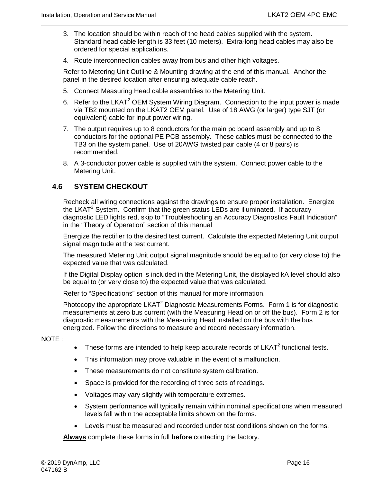- 3. The location should be within reach of the head cables supplied with the system. Standard head cable length is 33 feet (10 meters). Extra-long head cables may also be ordered for special applications.
- 4. Route interconnection cables away from bus and other high voltages.

Refer to Metering Unit Outline & Mounting drawing at the end of this manual. Anchor the panel in the desired location after ensuring adequate cable reach.

- 5. Connect Measuring Head cable assemblies to the Metering Unit.
- 6. Refer to the LKAT<sup>2</sup> OEM System Wiring Diagram. Connection to the input power is made via TB2 mounted on the LKAT2 OEM panel. Use of 18 AWG (or larger) type SJT (or equivalent) cable for input power wiring.
- 7. The output requires up to 8 conductors for the main pc board assembly and up to 8 conductors for the optional PE PCB assembly. These cables must be connected to the TB3 on the system panel. Use of 20AWG twisted pair cable (4 or 8 pairs) is recommended.
- 8. A 3-conductor power cable is supplied with the system. Connect power cable to the Metering Unit.

#### <span id="page-29-0"></span>**4.6 SYSTEM CHECKOUT**

Recheck all wiring connections against the drawings to ensure proper installation. Energize the LKAT<sup>2</sup> System. Confirm that the green status LEDs are illuminated. If accuracy diagnostic LED lights red, skip to "Troubleshooting an Accuracy Diagnostics Fault Indication" in the "Theory of Operation" section of this manual

Energize the rectifier to the desired test current. Calculate the expected Metering Unit output signal magnitude at the test current.

The measured Metering Unit output signal magnitude should be equal to (or very close to) the expected value that was calculated.

If the Digital Display option is included in the Metering Unit, the displayed kA level should also be equal to (or very close to) the expected value that was calculated.

Refer to "Specifications" section of this manual for more information.

Photocopy the appropriate LKAT<sup>2</sup> Diagnostic Measurements Forms. Form 1 is for diagnostic measurements at zero bus current (with the Measuring Head on or off the bus). Form 2 is for diagnostic measurements with the Measuring Head installed on the bus with the bus energized. Follow the directions to measure and record necessary information.

NOTE :

- These forms are intended to help keep accurate records of  $LKAT<sup>2</sup>$  functional tests.
- This information may prove valuable in the event of a malfunction.
- These measurements do not constitute system calibration.
- Space is provided for the recording of three sets of readings.
- Voltages may vary slightly with temperature extremes.
- System performance will typically remain within nominal specifications when measured levels fall within the acceptable limits shown on the forms.
- Levels must be measured and recorded under test conditions shown on the forms.

**Always** complete these forms in full **before** contacting the factory.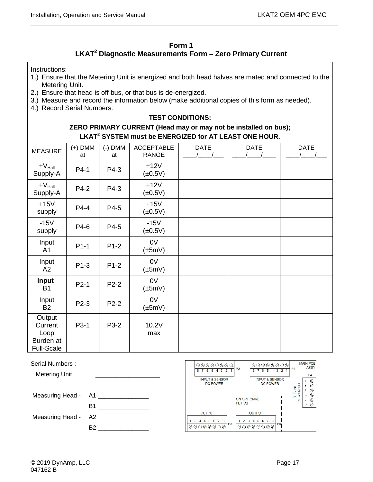| Form 1                                                                |  |
|-----------------------------------------------------------------------|--|
| $\mathsf{LKAT}^2$ Diagnostic Measurements Form – Zero Primary Current |  |

<span id="page-30-0"></span>Instructions:

- 1.) Ensure that the Metering Unit is energized and both head halves are mated and connected to the Metering Unit.
- 2.) Ensure that head is off bus, or that bus is de-energized.
- 3.) Measure and record the information below (make additional copies of this form as needed).
- 4.) Record Serial Numbers.

#### **TEST CONDITIONS:**

**ZERO PRIMARY CURRENT (Head may or may not be installed on bus); LKAT2 SYSTEM must be ENERGIZED for AT LEAST ONE HOUR.**

| <b>MEASURE</b>                                              | $(+)$ DMM<br>at | $(-)$ DMM<br>at | <b>ACCEPTABLE</b><br><b>RANGE</b> | <b>DATE</b> | <b>DATE</b> | <b>DATE</b> |
|-------------------------------------------------------------|-----------------|-----------------|-----------------------------------|-------------|-------------|-------------|
| $+V_{\text{Hall}}$<br>Supply-A                              | P4-1            | P4-3            | $+12V$<br>$(\pm 0.5V)$            |             |             |             |
| $+V_{\text{Hall}}$<br>Supply-A                              | P4-2            | P4-3            | $+12V$<br>$(\pm 0.5V)$            |             |             |             |
| $+15V$<br>supply                                            | P4-4            | P4-5            | $+15V$<br>$(\pm 0.5V)$            |             |             |             |
| $-15V$<br>supply                                            | P4-6            | P4-5            | $-15V$<br>$(\pm 0.5V)$            |             |             |             |
| Input<br>A <sub>1</sub>                                     | $P1-1$          | $P1-2$          | 0V<br>$(\pm 5mV)$                 |             |             |             |
| Input<br>A2                                                 | $P1-3$          | $P1-2$          | 0V<br>$(\pm 5mV)$                 |             |             |             |
| <b>Input</b><br><b>B1</b>                                   | $P2-1$          | $P2-2$          | 0 <sup>V</sup><br>$(\pm 5mV)$     |             |             |             |
| Input<br><b>B2</b>                                          | P2-3            | $P2-2$          | 0V<br>$(\pm 5mV)$                 |             |             |             |
| Output<br>Current<br>Loop<br>Burden at<br><b>Full-Scale</b> | P3-1            | P3-2            | 10.2V<br>max                      |             |             |             |

| Serial Numbers:<br><b>Metering Unit</b> |                 | 00000000<br>6 5 4 3 2<br><b>INPUT &amp; SENSOR</b><br><b>DC POWER</b> | $\begin{picture}(160,170) \put(0,0){\line(1,0){100}} \put(10,0){\line(1,0){100}} \put(10,0){\line(1,0){100}} \put(10,0){\line(1,0){100}} \put(10,0){\line(1,0){100}} \put(10,0){\line(1,0){100}} \put(10,0){\line(1,0){100}} \put(10,0){\line(1,0){100}} \put(10,0){\line(1,0){100}} \put(10,0){\line(1,0){100}} \put(10,0){\line(1,0){100$<br>P <sub>2</sub><br>6 5 4 3 2<br><b>INPUT &amp; SENSOR</b><br><b>DC POWER</b> | <b>MAIN PCB</b><br><b>ASSY</b><br>P <sub>1</sub><br>P <sub>4</sub><br>☺<br>⊚<br>집 |
|-----------------------------------------|-----------------|-----------------------------------------------------------------------|----------------------------------------------------------------------------------------------------------------------------------------------------------------------------------------------------------------------------------------------------------------------------------------------------------------------------------------------------------------------------------------------------------------------------|-----------------------------------------------------------------------------------|
| Measuring Head -                        | A1<br><b>B1</b> |                                                                       | <b>ON OPTIONAL</b><br><b>PE PCB</b>                                                                                                                                                                                                                                                                                                                                                                                        | Q<br><b>WER</b><br>$\frac{2}{5}$<br>ଷ<br>◎                                        |
| Measuring Head -                        | A2              | <b>OUTPUT</b><br>4 5 6 7 8                                            | <b>OUTPUT</b><br>4 5 6 7 8<br>2 <sup>3</sup>                                                                                                                                                                                                                                                                                                                                                                               |                                                                                   |
|                                         | <b>B2</b>       | P3<br>00000000                                                        | P9<br>00000000                                                                                                                                                                                                                                                                                                                                                                                                             |                                                                                   |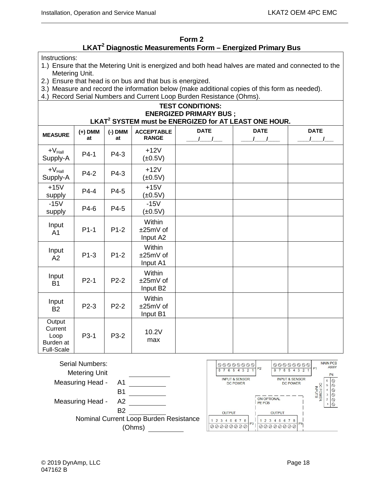#### **Form 2 LKAT2 Diagnostic Measurements Form – Energized Primary Bus**

#### <span id="page-31-0"></span>Instructions:

- 1.) Ensure that the Metering Unit is energized and both head halves are mated and connected to the Metering Unit.
- 2.) Ensure that head is on bus and that bus is energized.
- 3.) Measure and record the information below (make additional copies of this form as needed).
- 4.) Record Serial Numbers and Current Loop Burden Resistance (Ohms).

#### **TEST CONDITIONS: ENERGIZED PRIMARY BUS ; LKAT2 SYSTEM must be ENERGIZED for AT LEAST ONE HOUR.**

| <b>MEASURE</b>                                              | $(+)$ DMM<br>at   | $(-)$ DMM<br>at | <b>ACCEPTABLE</b><br><b>RANGE</b> | <b>DATE</b> | <b>DATE</b> | <b>DATE</b> |
|-------------------------------------------------------------|-------------------|-----------------|-----------------------------------|-------------|-------------|-------------|
| $+V_{\text{Hall}}$<br>Supply-A                              | $P4-1$            | P4-3            | $+12V$<br>$(\pm 0.5V)$            |             |             |             |
| $+V_{\text{Hall}}$<br>Supply-A                              | P4-2              | P4-3            | $+12V$<br>$(\pm 0.5V)$            |             |             |             |
| $+15V$<br>supply                                            | $P4-4$            | P4-5            | $+15V$<br>$(\pm 0.5V)$            |             |             |             |
| $-15V$<br>supply                                            | P4-6              | P4-5            | $-15V$<br>$(\pm 0.5V)$            |             |             |             |
| Input<br>A <sub>1</sub>                                     | $P1-1$            | $P1-2$          | Within<br>±25mV of<br>Input A2    |             |             |             |
| Input<br>A2                                                 | $P1-3$            | $P1-2$          | Within<br>±25mV of<br>Input A1    |             |             |             |
| Input<br><b>B1</b>                                          | $P2-1$            | $P2-2$          | Within<br>±25mV of<br>Input B2    |             |             |             |
| Input<br><b>B2</b>                                          | P <sub>2</sub> -3 | $P2-2$          | Within<br>±25mV of<br>Input B1    |             |             |             |
| Output<br>Current<br>Loop<br>Burden at<br><b>Full-Scale</b> | P3-1              | P3-2            | 10.2V<br>max                      |             |             |             |



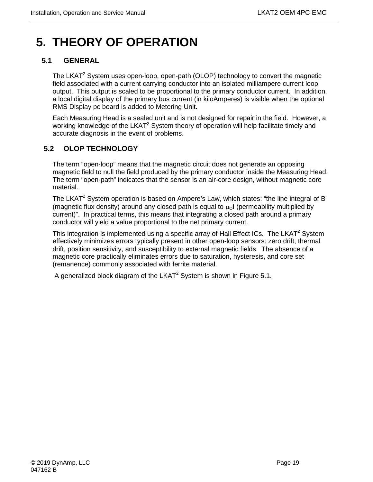# <span id="page-32-0"></span>**5. THEORY OF OPERATION**

# <span id="page-32-1"></span>**5.1 GENERAL**

The LKAT<sup>2</sup> System uses open-loop, open-path (OLOP) technology to convert the magnetic field associated with a current carrying conductor into an isolated milliampere current loop output. This output is scaled to be proportional to the primary conductor current. In addition, a local digital display of the primary bus current (in kiloAmperes) is visible when the optional RMS Display pc board is added to Metering Unit.

Each Measuring Head is a sealed unit and is not designed for repair in the field. However, a working knowledge of the LKAT<sup>2</sup> System theory of operation will help facilitate timely and accurate diagnosis in the event of problems.

# <span id="page-32-2"></span>**5.2 OLOP TECHNOLOGY**

The term "open-loop" means that the magnetic circuit does not generate an opposing magnetic field to null the field produced by the primary conductor inside the Measuring Head. The term "open-path" indicates that the sensor is an air-core design, without magnetic core material.

The LKAT<sup>2</sup> System operation is based on Ampere's Law, which states: "the line integral of B (magnetic flux density) around any closed path is equal to  $\mu_0$  (permeability multiplied by current)". In practical terms, this means that integrating a closed path around a primary conductor will yield a value proportional to the net primary current.

This integration is implemented using a specific array of Hall Effect ICs. The LKAT<sup>2</sup> System effectively minimizes errors typically present in other open-loop sensors: zero drift, thermal drift, position sensitivity, and susceptibility to external magnetic fields. The absence of a magnetic core practically eliminates errors due to saturation, hysteresis, and core set (remanence) commonly associated with ferrite material.

A generalized block diagram of the LKAT<sup>2</sup> System is shown in Figure 5.1.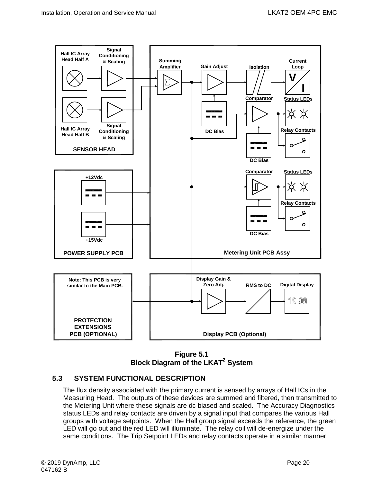

**Figure 5.1 Block Diagram of the LKAT2 System**

## <span id="page-33-1"></span><span id="page-33-0"></span>**5.3 SYSTEM FUNCTIONAL DESCRIPTION**

The flux density associated with the primary current is sensed by arrays of Hall ICs in the Measuring Head. The outputs of these devices are summed and filtered, then transmitted to the Metering Unit where these signals are dc biased and scaled. The Accuracy Diagnostics status LEDs and relay contacts are driven by a signal input that compares the various Hall groups with voltage setpoints. When the Hall group signal exceeds the reference, the green LED will go out and the red LED will illuminate. The relay coil will de-energize under the same conditions. The Trip Setpoint LEDs and relay contacts operate in a similar manner.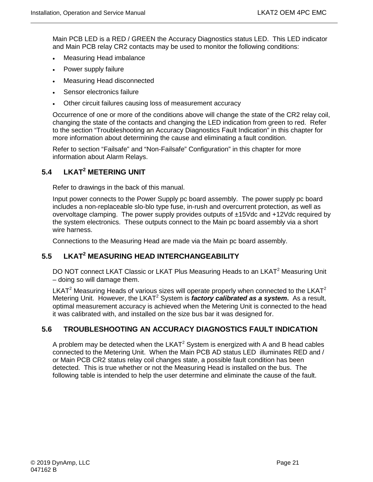Main PCB LED is a RED / GREEN the Accuracy Diagnostics status LED. This LED indicator and Main PCB relay CR2 contacts may be used to monitor the following conditions:

- Measuring Head imbalance
- Power supply failure
- Measuring Head disconnected
- Sensor electronics failure
- Other circuit failures causing loss of measurement accuracy

Occurrence of one or more of the conditions above will change the state of the CR2 relay coil, changing the state of the contacts and changing the LED indication from green to red. Refer to the section "Troubleshooting an Accuracy Diagnostics Fault Indication" in this chapter for more information about determining the cause and eliminating a fault condition.

Refer to section "Failsafe" and "Non-Failsafe" Configuration" in this chapter for more information about Alarm Relays.

# <span id="page-34-0"></span>**5.4 LKAT2 METERING UNIT**

Refer to drawings in the back of this manual.

Input power connects to the Power Supply pc board assembly. The power supply pc board includes a non-replaceable slo-blo type fuse, in-rush and overcurrent protection, as well as overvoltage clamping. The power supply provides outputs of ±15Vdc and +12Vdc required by the system electronics. These outputs connect to the Main pc board assembly via a short wire harness.

Connections to the Measuring Head are made via the Main pc board assembly.

# <span id="page-34-1"></span>**5.5 LKAT2 MEASURING HEAD INTERCHANGEABILITY**

DO NOT connect LKAT Classic or LKAT Plus Measuring Heads to an LKAT<sup>2</sup> Measuring Unit – doing so will damage them.

LKAT<sup>2</sup> Measuring Heads of various sizes will operate properly when connected to the LKAT<sup>2</sup> Metering Unit. However, the LKAT<sup>2</sup> System is *factory calibrated as a system*. As a result, optimal measurement accuracy is achieved when the Metering Unit is connected to the head it was calibrated with, and installed on the size bus bar it was designed for.

## <span id="page-34-2"></span>**5.6 TROUBLESHOOTING AN ACCURACY DIAGNOSTICS FAULT INDICATION**

A problem may be detected when the  $LKAT^2$  System is energized with A and B head cables connected to the Metering Unit. When the Main PCB AD status LED illuminates RED and / or Main PCB CR2 status relay coil changes state, a possible fault condition has been detected. This is true whether or not the Measuring Head is installed on the bus. The following table is intended to help the user determine and eliminate the cause of the fault.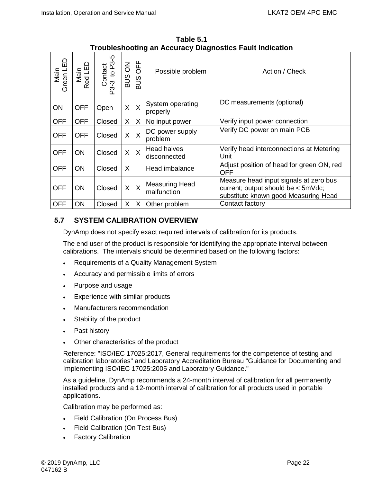<span id="page-35-1"></span>

| Green LED<br>Main | Main<br>Red LED | Contact<br>-3 to P3-5<br>P3-3 | $\overline{6}$<br><b>SUB</b> | <b>UFF</b><br><b>SUB</b> | Possible problem                     | Action / Check                                                                                                       |
|-------------------|-----------------|-------------------------------|------------------------------|--------------------------|--------------------------------------|----------------------------------------------------------------------------------------------------------------------|
| ON                | <b>OFF</b>      | Open                          | $\sf X$                      | $\sf X$                  | System operating<br>properly         | DC measurements (optional)                                                                                           |
| <b>OFF</b>        | <b>OFF</b>      | Closed                        | X                            | X                        | No input power                       | Verify input power connection                                                                                        |
| <b>OFF</b>        | <b>OFF</b>      | Closed                        | X                            | $\overline{X}$           | DC power supply<br>problem           | Verify DC power on main PCB                                                                                          |
| <b>OFF</b>        | <b>ON</b>       | Closed                        | X                            | $\sf X$                  | <b>Head halves</b><br>disconnected   | Verify head interconnections at Metering<br>Unit                                                                     |
| <b>OFF</b>        | ON              | Closed                        | X                            |                          | Head imbalance                       | Adjust position of head for green ON, red<br>OFF                                                                     |
| <b>OFF</b>        | <b>ON</b>       | Closed                        | X                            | $\mathsf{X}$             | <b>Measuring Head</b><br>malfunction | Measure head input signals at zero bus<br>current; output should be < 5mVdc;<br>substitute known good Measuring Head |
| <b>OFF</b>        | ON              | Closed                        | X.                           | $\mathsf{X}$             | Other problem                        | Contact factory                                                                                                      |

**Table 5.1 Troubleshooting an Accuracy Diagnostics Fault Indication** 

# <span id="page-35-0"></span>**5.7 SYSTEM CALIBRATION OVERVIEW**

DynAmp does not specify exact required intervals of calibration for its products.

The end user of the product is responsible for identifying the appropriate interval between calibrations. The intervals should be determined based on the following factors:

- Requirements of a Quality Management System
- Accuracy and permissible limits of errors
- Purpose and usage
- Experience with similar products
- Manufacturers recommendation
- Stability of the product
- Past history
- Other characteristics of the product

Reference: "ISO/IEC 17025:2017, General requirements for the competence of testing and calibration laboratories" and Laboratory Accreditation Bureau "Guidance for Documenting and Implementing ISO/IEC 17025:2005 and Laboratory Guidance."

As a guideline, DynAmp recommends a 24-month interval of calibration for all permanently installed products and a 12-month interval of calibration for all products used in portable applications.

Calibration may be performed as:

- Field Calibration (On Process Bus)
- Field Calibration (On Test Bus)
- Factory Calibration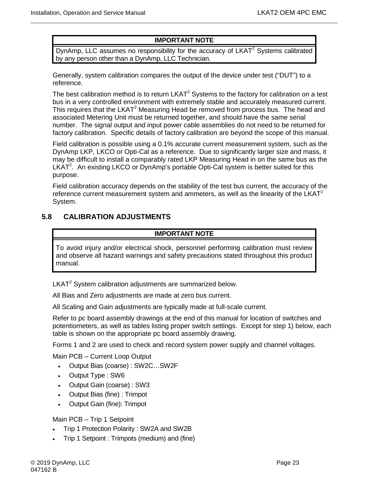### **IMPORTANT NOTE**

DynAmp, LLC assumes no responsibility for the accuracy of  $LKAT<sup>2</sup>$  Systems calibrated by any person other than a DynAmp, LLC Technician.

Generally, system calibration compares the output of the device under test ("DUT") to a reference.

The best calibration method is to return  $LKAT<sup>2</sup>$  Systems to the factory for calibration on a test bus in a very controlled environment with extremely stable and accurately measured current. This requires that the LKAT<sup>2</sup> Measuring Head be removed from process bus. The head and associated Metering Unit must be returned together, and should have the same serial number. The signal output and input power cable assemblies do not need to be returned for factory calibration. Specific details of factory calibration are beyond the scope of this manual.

Field calibration is possible using a 0.1% accurate current measurement system, such as the DynAmp LKP, LKCO or Opti-Cal as a reference. Due to significantly larger size and mass, it may be difficult to install a comparably rated LKP Measuring Head in on the same bus as the LKAT<sup>2</sup>. An existing LKCO or DynAmp's portable Opti-Cal system is better suited for this purpose.

Field calibration accuracy depends on the stability of the test bus current, the accuracy of the reference current measurement system and ammeters, as well as the linearity of the  $LKAT<sup>2</sup>$ System.

### <span id="page-36-0"></span>**5.8 CALIBRATION ADJUSTMENTS**

#### **IMPORTANT NOTE**

To avoid injury and/or electrical shock, personnel performing calibration must review and observe all hazard warnings and safety precautions stated throughout this product manual.

 $LKAT<sup>2</sup>$  System calibration adjustments are summarized below.

All Bias and Zero adjustments are made at zero bus current.

All Scaling and Gain adjustments are typically made at full-scale current.

Refer to pc board assembly drawings at the end of this manual for location of switches and potentiometers, as well as tables listing proper switch settings. Except for step 1) below, each table is shown on the appropriate pc board assembly drawing.

Forms 1 and 2 are used to check and record system power supply and channel voltages.

Main PCB – Current Loop Output

- Output Bias (coarse) : SW2C…SW2F
- Output Type : SW6
- Output Gain (coarse) : SW3
- Output Bias (fine) : Trimpot
- Output Gain (fine): Trimpot

Main PCB – Trip 1 Setpoint

- Trip 1 Protection Polarity : SW2A and SW2B
- Trip 1 Setpoint : Trimpots (medium) and (fine)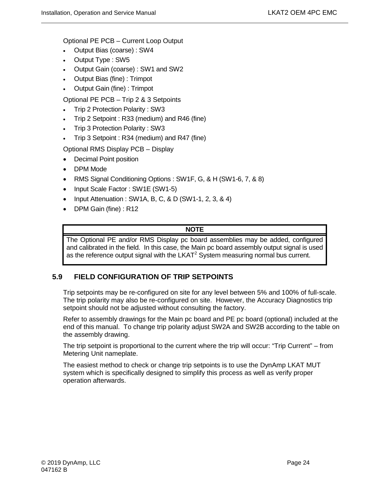Optional PE PCB – Current Loop Output

- Output Bias (coarse) : SW4
- Output Type : SW5
- Output Gain (coarse) : SW1 and SW2
- Output Bias (fine) : Trimpot
- Output Gain (fine) : Trimpot

Optional PE PCB – Trip 2 & 3 Setpoints

- Trip 2 Protection Polarity : SW3
- Trip 2 Setpoint : R33 (medium) and R46 (fine)
- Trip 3 Protection Polarity : SW3
- Trip 3 Setpoint : R34 (medium) and R47 (fine)

Optional RMS Display PCB – Display

- Decimal Point position
- DPM Mode
- RMS Signal Conditioning Options : SW1F, G, & H (SW1-6, 7, & 8)
- Input Scale Factor : SW1E (SW1-5)
- Input Attenuation : SW1A, B, C, & D (SW1-1, 2, 3, & 4)
- DPM Gain (fine) : R12

#### **NOTE**

The Optional PE and/or RMS Display pc board assemblies may be added, configured and calibrated in the field. In this case, the Main pc board assembly output signal is used as the reference output signal with the  $LKAT<sup>2</sup>$  System measuring normal bus current.

#### <span id="page-37-0"></span>**5.9 FIELD CONFIGURATION OF TRIP SETPOINTS**

Trip setpoints may be re-configured on site for any level between 5% and 100% of full-scale. The trip polarity may also be re-configured on site. However, the Accuracy Diagnostics trip setpoint should not be adjusted without consulting the factory.

Refer to assembly drawings for the Main pc board and PE pc board (optional) included at the end of this manual. To change trip polarity adjust SW2A and SW2B according to the table on the assembly drawing.

The trip setpoint is proportional to the current where the trip will occur: "Trip Current" – from Metering Unit nameplate.

The easiest method to check or change trip setpoints is to use the DynAmp LKAT MUT system which is specifically designed to simplify this process as well as verify proper operation afterwards.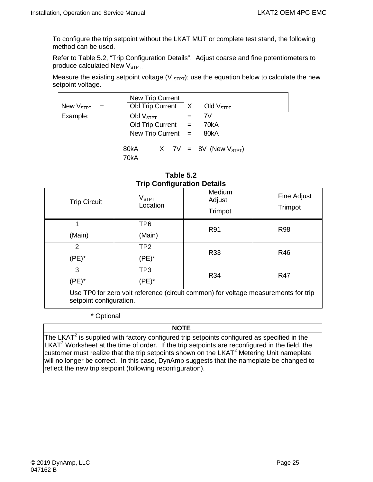To configure the trip setpoint without the LKAT MUT or complete test stand, the following method can be used.

Refer to Table 5.2, "Trip Configuration Details". Adjust coarse and fine potentiometers to produce calculated New V<sub>STPT.</sub>

Measure the existing setpoint voltage (V  $_{STPT}$ ); use the equation below to calculate the new setpoint voltage.

| New $V_{\text{STPT}}$ = | <b>New Trip Current</b><br>Old Trip Current X               |  |     | Old $VSTPT$                 |  |
|-------------------------|-------------------------------------------------------------|--|-----|-----------------------------|--|
| Example:                | Old $VSTPT$<br>Old Trip Current $=$<br>New Trip Current $=$ |  | $=$ | 7V<br>70kA<br>80kA          |  |
|                         | 80kA<br>70kA                                                |  |     | X 7V = 8V (New $V_{STPT}$ ) |  |

| Table 5.2                         |
|-----------------------------------|
| <b>Trip Configuration Details</b> |

<span id="page-38-1"></span>

| <b>Trip Circuit</b>                                                                                           | V <sub>STPT</sub><br>Location | Medium<br>Adjust<br>Trimpot | Fine Adjust<br>Trimpot |  |
|---------------------------------------------------------------------------------------------------------------|-------------------------------|-----------------------------|------------------------|--|
|                                                                                                               | TP <sub>6</sub>               | R91                         | <b>R98</b>             |  |
| (Main)                                                                                                        | (Main)                        |                             |                        |  |
| 2                                                                                                             | TP <sub>2</sub>               | R33                         | <b>R46</b>             |  |
| $(PE)^*$                                                                                                      | $(PE)^*$                      |                             |                        |  |
| 3                                                                                                             | TP <sub>3</sub>               | R34                         | R47                    |  |
| $(PE)^*$                                                                                                      | $(PE)^*$                      |                             |                        |  |
| Use TP0 for zero volt reference (circuit common) for voltage measurements for trip<br>setpoint configuration. |                               |                             |                        |  |

\* Optional

#### **NOTE**

<span id="page-38-0"></span>The LKAT $2$  is supplied with factory configured trip setpoints configured as specified in the  $LKAT<sup>2</sup>$  Worksheet at the time of order. If the trip setpoints are reconfigured in the field, the customer must realize that the trip setpoints shown on the LKAT $2$  Metering Unit nameplate will no longer be correct. In this case, DynAmp suggests that the nameplate be changed to reflect the new trip setpoint (following reconfiguration).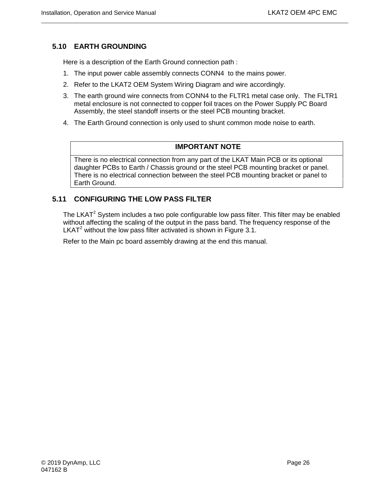## **5.10 EARTH GROUNDING**

Here is a description of the Earth Ground connection path :

- 1. The input power cable assembly connects CONN4 to the mains power.
- 2. Refer to the LKAT2 OEM System Wiring Diagram and wire accordingly.
- 3. The earth ground wire connects from CONN4 to the FLTR1 metal case only. The FLTR1 metal enclosure is not connected to copper foil traces on the Power Supply PC Board Assembly, the steel standoff inserts or the steel PCB mounting bracket.
- 4. The Earth Ground connection is only used to shunt common mode noise to earth.

#### **IMPORTANT NOTE**

There is no electrical connection from any part of the LKAT Main PCB or its optional daughter PCBs to Earth / Chassis ground or the steel PCB mounting bracket or panel. There is no electrical connection between the steel PCB mounting bracket or panel to Earth Ground.

### <span id="page-39-0"></span>**5.11 CONFIGURING THE LOW PASS FILTER**

The LKAT<sup>2</sup> System includes a two pole configurable low pass filter. This filter may be enabled without affecting the scaling of the output in the pass band. The frequency response of the LKAT<sup>2</sup> without the low pass filter activated is shown in Figure 3.1.

Refer to the Main pc board assembly drawing at the end this manual.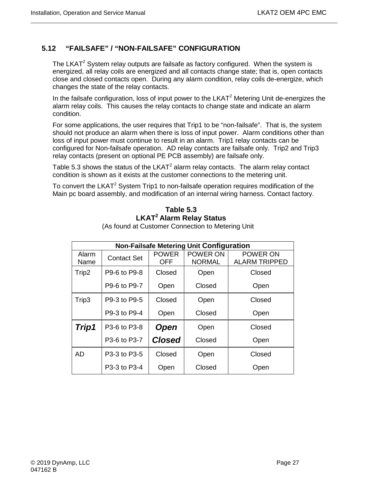# <span id="page-40-0"></span>**5.12 "FAILSAFE" / "NON-FAILSAFE" CONFIGURATION**

The LKAT<sup>2</sup> System relay outputs are failsafe as factory configured. When the system is energized, all relay coils are energized and all contacts change state; that is, open contacts close and closed contacts open. During any alarm condition, relay coils de-energize, which changes the state of the relay contacts.

In the failsafe configuration, loss of input power to the  $LKAT<sup>2</sup>$  Metering Unit de-energizes the alarm relay coils. This causes the relay contacts to change state and indicate an alarm condition.

For some applications, the user requires that Trip1 to be "non-failsafe". That is, the system should not produce an alarm when there is loss of input power. Alarm conditions other than loss of input power must continue to result in an alarm. Trip1 relay contacts can be configured for Non-failsafe operation. AD relay contacts are failsafe only. Trip2 and Trip3 relay contacts (present on optional PE PCB assembly) are failsafe only.

Table 5.3 shows the status of the  $LKAT^2$  alarm relay contacts. The alarm relay contact condition is shown as it exists at the customer connections to the metering unit.

<span id="page-40-1"></span>To convert the LKAT<sup>2</sup> System Trip1 to non-failsafe operation requires modification of the Main pc board assembly, and modification of an internal wiring harness. Contact factory.

# **Table 5.3 LKAT2 Alarm Relay Status**

| <b>Non-Failsafe Metering Unit Configuration</b> |                    |                            |                           |                                  |  |  |  |
|-------------------------------------------------|--------------------|----------------------------|---------------------------|----------------------------------|--|--|--|
| Alarm<br>Name                                   | <b>Contact Set</b> | <b>POWER</b><br><b>OFF</b> | POWER ON<br><b>NORMAL</b> | POWER ON<br><b>ALARM TRIPPED</b> |  |  |  |
| Trip2                                           | P9-6 to P9-8       | Closed                     | Open                      | Closed                           |  |  |  |
|                                                 | P9-6 to P9-7       | Open                       | Closed                    | Open                             |  |  |  |
| Trip3                                           | P9-3 to P9-5       | Closed                     | Open                      | Closed                           |  |  |  |
|                                                 | P9-3 to P9-4       | Open                       | Closed                    | Open                             |  |  |  |
| Trip1                                           | P3-6 to P3-8       | <b>Open</b>                | Open                      | Closed                           |  |  |  |
|                                                 | P3-6 to P3-7       | <b>Closed</b>              | Closed                    | Open                             |  |  |  |
| AD                                              | P3-3 to P3-5       | Closed                     | Open                      | Closed                           |  |  |  |
|                                                 | P3-3 to P3-4       | Open                       | Closed                    | Open                             |  |  |  |

(As found at Customer Connection to Metering Unit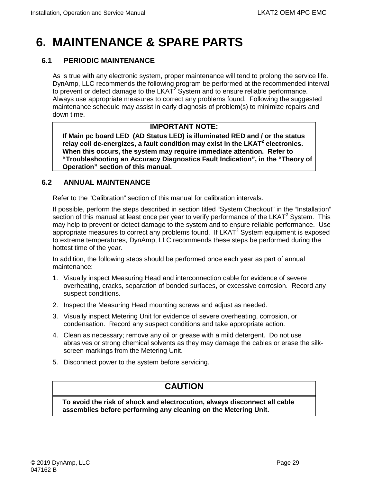# <span id="page-42-0"></span>**6. MAINTENANCE & SPARE PARTS**

# <span id="page-42-1"></span>**6.1 PERIODIC MAINTENANCE**

As is true with any electronic system, proper maintenance will tend to prolong the service life. DynAmp, LLC recommends the following program be performed at the recommended interval to prevent or detect damage to the  $LKAT<sup>2</sup>$  System and to ensure reliable performance. Always use appropriate measures to correct any problems found. Following the suggested maintenance schedule may assist in early diagnosis of problem(s) to minimize repairs and down time.

### **IMPORTANT NOTE:**

**If Main pc board LED (AD Status LED) is illuminated RED and / or the status**  relay coil de-energizes, a fault condition may exist in the LKAT<sup>2</sup> electronics. **When this occurs, the system may require immediate attention. Refer to "Troubleshooting an Accuracy Diagnostics Fault Indication", in the "Theory of Operation" section of this manual.**

#### <span id="page-42-2"></span>**6.2 ANNUAL MAINTENANCE**

Refer to the "Calibration" section of this manual for calibration intervals.

If possible, perform the steps described in section titled "System Checkout" in the "Installation" section of this manual at least once per year to verify performance of the LKAT<sup>2</sup> System. This may help to prevent or detect damage to the system and to ensure reliable performance. Use appropriate measures to correct any problems found. If  $LKAT<sup>2</sup>$  System equipment is exposed to extreme temperatures, DynAmp, LLC recommends these steps be performed during the hottest time of the year.

In addition, the following steps should be performed once each year as part of annual maintenance:

- 1. Visually inspect Measuring Head and interconnection cable for evidence of severe overheating, cracks, separation of bonded surfaces, or excessive corrosion. Record any suspect conditions.
- 2. Inspect the Measuring Head mounting screws and adjust as needed.
- 3. Visually inspect Metering Unit for evidence of severe overheating, corrosion, or condensation. Record any suspect conditions and take appropriate action.
- 4. Clean as necessary; remove any oil or grease with a mild detergent. Do not use abrasives or strong chemical solvents as they may damage the cables or erase the silkscreen markings from the Metering Unit.
- 5. Disconnect power to the system before servicing.

# **CAUTION**

**To avoid the risk of shock and electrocution, always disconnect all cable assemblies before performing any cleaning on the Metering Unit.**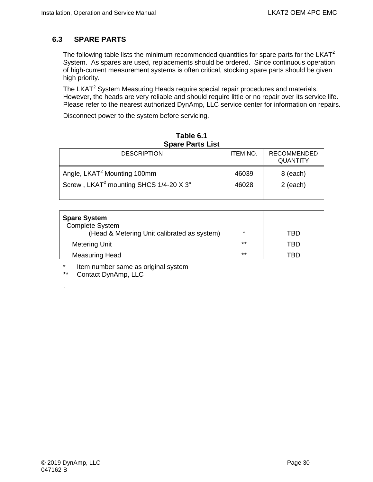## <span id="page-43-0"></span>**6.3 SPARE PARTS**

The following table lists the minimum recommended quantities for spare parts for the LKAT $^2$ System. As spares are used, replacements should be ordered. Since continuous operation of high-current measurement systems is often critical, stocking spare parts should be given high priority.

The LKAT<sup>2</sup> System Measuring Heads require special repair procedures and materials. However, the heads are very reliable and should require little or no repair over its service life. Please refer to the nearest authorized DynAmp, LLC service center for information on repairs.

Disconnect power to the system before servicing.

<span id="page-43-1"></span>

| Spare Parts List                                                                              |                 |                                       |  |  |  |  |  |
|-----------------------------------------------------------------------------------------------|-----------------|---------------------------------------|--|--|--|--|--|
| <b>DESCRIPTION</b>                                                                            | <b>ITEM NO.</b> | <b>RECOMMENDED</b><br><b>QUANTITY</b> |  |  |  |  |  |
| Angle, LKAT <sup>2</sup> Mounting 100mm<br>Screw, LKAT <sup>2</sup> mounting SHCS 1/4-20 X 3" | 46039<br>46028  | 8 (each)<br>2 (each)                  |  |  |  |  |  |

| Table 6.1               |  |  |  |  |  |
|-------------------------|--|--|--|--|--|
| <b>Spare Parts List</b> |  |  |  |  |  |

| <b>Spare System</b><br><b>Complete System</b><br>(Head & Metering Unit calibrated as system) | $\star$ | TBD |
|----------------------------------------------------------------------------------------------|---------|-----|
| <b>Metering Unit</b>                                                                         | $***$   | TBD |
| Measuring Head                                                                               | $***$   | TBD |

\* Item number same as original system<br>\*\* Contact DynAmp LLC

Contact DynAmp, LLC

.